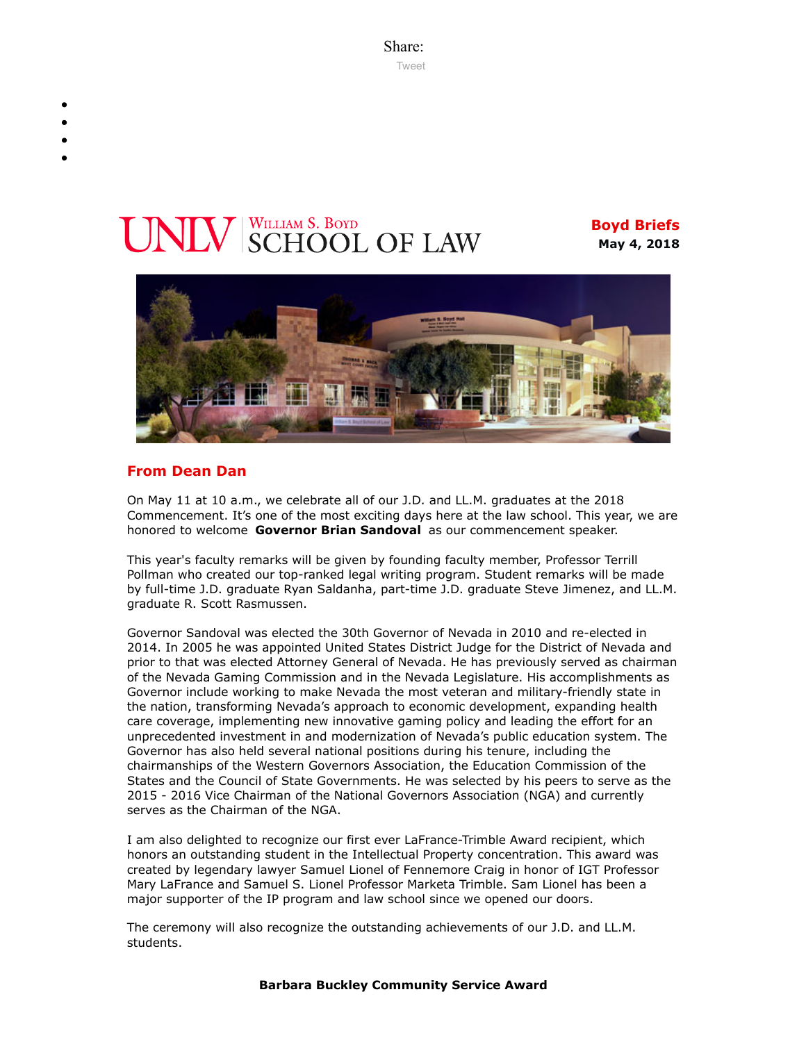Share: [Tweet](https://twitter.com/intent/tweet?ref_src=twsrc%5Etfw&text=Boyd%20Briefs&tw_p=tweetbutton&url=file%3A%2F%2F%2FC%3A%2FUsers%2FElizabeth%2520Manriquez%2FAppData%2FLocal%2FTemp%2FTemp1_boyd-briefs.zip%2Fboyd-briefs%2Femail-BoydBriefs-2018-05-04.html)

# **VIV** SCHOOL OF LAW

**Boyd Briefs May 4, 2018**



# **From Dean Dan**

On May 11 at 10 a.m., we celebrate all of our J.D. and LL.M. graduates at the 2018 Commencement. It's one of the most exciting days here at the law school. This year, we are honored to welcome **Governor Brian Sandoval** as our commencement speaker.

This year's faculty remarks will be given by founding faculty member, Professor Terrill Pollman who created our top-ranked legal writing program. Student remarks will be made by full-time J.D. graduate Ryan Saldanha, part-time J.D. graduate Steve Jimenez, and LL.M. graduate R. Scott Rasmussen.

Governor Sandoval was elected the 30th Governor of Nevada in 2010 and re-elected in 2014. In 2005 he was appointed United States District Judge for the District of Nevada and prior to that was elected Attorney General of Nevada. He has previously served as chairman of the Nevada Gaming Commission and in the Nevada Legislature. His accomplishments as Governor include working to make Nevada the most veteran and military-friendly state in the nation, transforming Nevada's approach to economic development, expanding health care coverage, implementing new innovative gaming policy and leading the effort for an unprecedented investment in and modernization of Nevada's public education system. The Governor has also held several national positions during his tenure, including the chairmanships of the Western Governors Association, the Education Commission of the States and the Council of State Governments. He was selected by his peers to serve as the 2015 - 2016 Vice Chairman of the National Governors Association (NGA) and currently serves as the Chairman of the NGA.

I am also delighted to recognize our first ever LaFrance-Trimble Award recipient, which honors an outstanding student in the Intellectual Property concentration. This award was created by legendary lawyer Samuel Lionel of Fennemore Craig in honor of IGT Professor Mary LaFrance and Samuel S. Lionel Professor Marketa Trimble. Sam Lionel has been a major supporter of the IP program and law school since we opened our doors.

The ceremony will also recognize the outstanding achievements of our J.D. and LL.M. students.

#### **Barbara Buckley Community Service Award**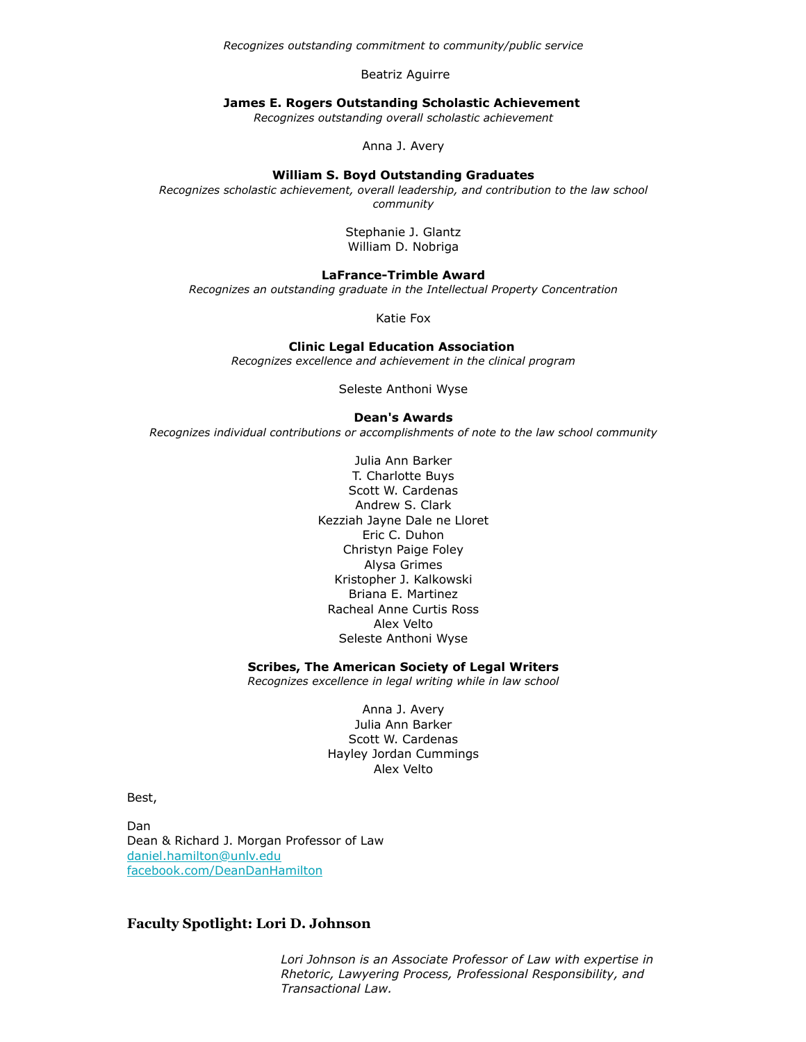*Recognizes outstanding commitment to community/public service*

Beatriz Aguirre

#### **James E. Rogers Outstanding Scholastic Achievement**

*Recognizes outstanding overall scholastic achievement*

Anna J. Avery

#### **William S. Boyd Outstanding Graduates**

*Recognizes scholastic achievement, overall leadership, and contribution to the law school community*

> Stephanie J. Glantz William D. Nobriga

#### **LaFrance-Trimble Award**

*Recognizes an outstanding graduate in the Intellectual Property Concentration*

Katie Fox

#### **Clinic Legal Education Association**

*Recognizes excellence and achievement in the clinical program*

Seleste Anthoni Wyse

#### **Dean's Awards**

*Recognizes individual contributions or accomplishments of note to the law school community*

Julia Ann Barker T. Charlotte Buys Scott W. Cardenas Andrew S. Clark Kezziah Jayne Dale ne Lloret Eric C. Duhon Christyn Paige Foley Alysa Grimes Kristopher J. Kalkowski Briana E. Martinez Racheal Anne Curtis Ross Alex Velto Seleste Anthoni Wyse

#### **Scribes, The American Society of Legal Writers**

*Recognizes excellence in legal writing while in law school*

Anna J. Avery Julia Ann Barker Scott W. Cardenas Hayley Jordan Cummings Alex Velto

Best,

Dan Dean & Richard J. Morgan Professor of Law [daniel.hamilton@unlv.edu](mailto:daniel.hamilton@unlv.edu) [facebook.com/DeanDanHamilton](https://www.facebook.com/DeanDanHamilton)

# **Faculty Spotlight: Lori D. Johnson**

*Lori Johnson is an Associate Professor of Law with expertise in Rhetoric, Lawyering Process, Professional Responsibility, and Transactional Law.*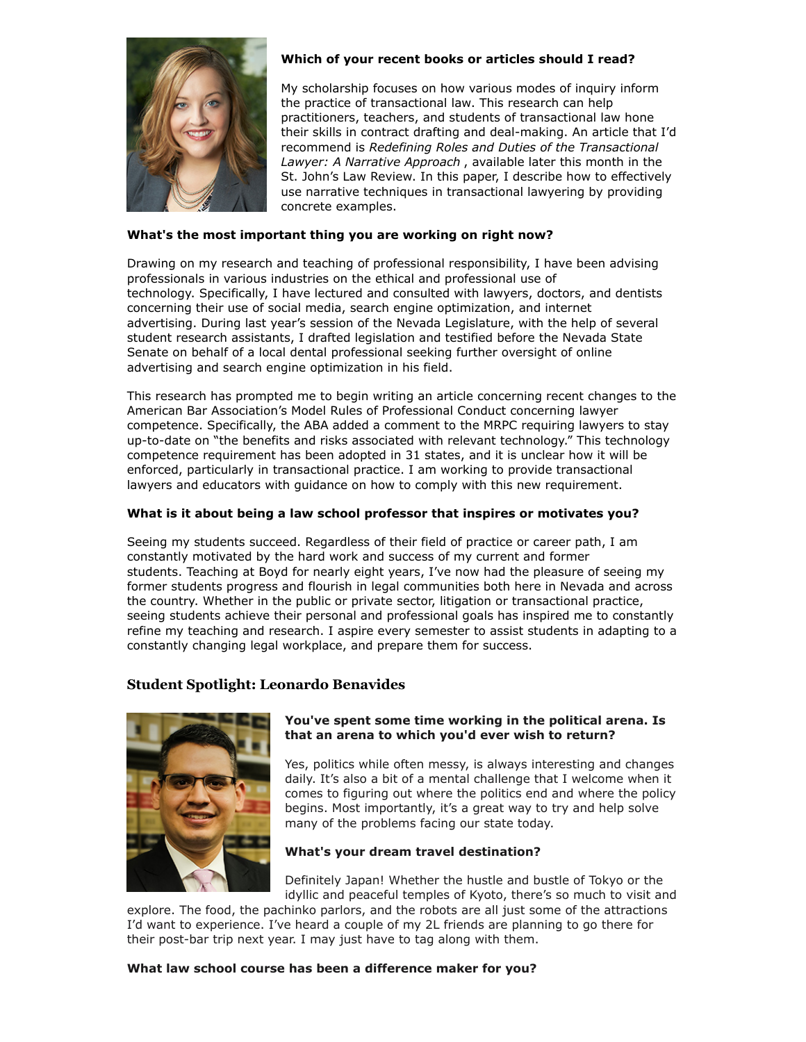

# **Which of your recent books or articles should I read?**

My scholarship focuses on how various modes of inquiry inform the practice of transactional law. This research can help practitioners, teachers, and students of transactional law hone their skills in contract drafting and deal-making. An article that I'd recommend is *Redefining Roles and Duties of the Transactional Lawyer: A Narrative Approach* , available later this month in the St. John's Law Review. In this paper, I describe how to effectively use narrative techniques in transactional lawyering by providing concrete examples.

#### **What's the most important thing you are working on right now?**

Drawing on my research and teaching of professional responsibility, I have been advising professionals in various industries on the ethical and professional use of technology. Specifically, I have lectured and consulted with lawyers, doctors, and dentists concerning their use of social media, search engine optimization, and internet advertising. During last year's session of the Nevada Legislature, with the help of several student research assistants, I drafted legislation and testified before the Nevada State Senate on behalf of a local dental professional seeking further oversight of online advertising and search engine optimization in his field.

This research has prompted me to begin writing an article concerning recent changes to the American Bar Association's Model Rules of Professional Conduct concerning lawyer competence. Specifically, the ABA added a comment to the MRPC requiring lawyers to stay up-to-date on "the benefits and risks associated with relevant technology." This technology competence requirement has been adopted in 31 states, and it is unclear how it will be enforced, particularly in transactional practice. I am working to provide transactional lawyers and educators with guidance on how to comply with this new requirement.

#### **What is it about being a law school professor that inspires or motivates you?**

Seeing my students succeed. Regardless of their field of practice or career path, I am constantly motivated by the hard work and success of my current and former students. Teaching at Boyd for nearly eight years, I've now had the pleasure of seeing my former students progress and flourish in legal communities both here in Nevada and across the country. Whether in the public or private sector, litigation or transactional practice, seeing students achieve their personal and professional goals has inspired me to constantly refine my teaching and research. I aspire every semester to assist students in adapting to a constantly changing legal workplace, and prepare them for success.

### **Student Spotlight: Leonardo Benavides**



### **You've spent some time working in the political arena. Is that an arena to which you'd ever wish to return?**

Yes, politics while often messy, is always interesting and changes daily. It's also a bit of a mental challenge that I welcome when it comes to figuring out where the politics end and where the policy begins. Most importantly, it's a great way to try and help solve many of the problems facing our state today.

#### **What's your dream travel destination?**

Definitely Japan! Whether the hustle and bustle of Tokyo or the idyllic and peaceful temples of Kyoto, there's so much to visit and

explore. The food, the pachinko parlors, and the robots are all just some of the attractions I'd want to experience. I've heard a couple of my 2L friends are planning to go there for their post-bar trip next year. I may just have to tag along with them.

### **What law school course has been a difference maker for you?**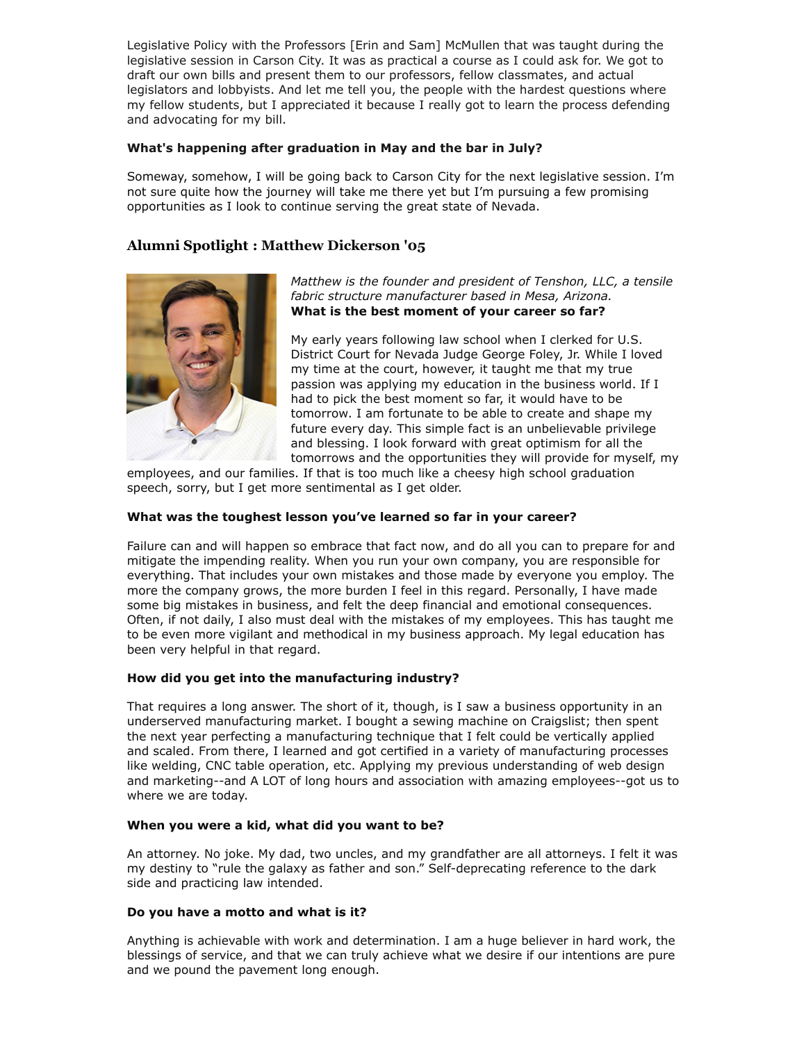Legislative Policy with the Professors [Erin and Sam] McMullen that was taught during the legislative session in Carson City. It was as practical a course as I could ask for. We got to draft our own bills and present them to our professors, fellow classmates, and actual legislators and lobbyists. And let me tell you, the people with the hardest questions where my fellow students, but I appreciated it because I really got to learn the process defending and advocating for my bill.

# **What's happening after graduation in May and the bar in July?**

Someway, somehow, I will be going back to Carson City for the next legislative session. I'm not sure quite how the journey will take me there yet but I'm pursuing a few promising opportunities as I look to continue serving the great state of Nevada.

# **Alumni Spotlight : Matthew Dickerson '05**



*Matthew is the founder and president of Tenshon, LLC, a tensile fabric structure manufacturer based in Mesa, Arizona.* **What is the best moment of your career so far?**

My early years following law school when I clerked for U.S. District Court for Nevada Judge George Foley, Jr. While I loved my time at the court, however, it taught me that my true passion was applying my education in the business world. If I had to pick the best moment so far, it would have to be tomorrow. I am fortunate to be able to create and shape my future every day. This simple fact is an unbelievable privilege and blessing. I look forward with great optimism for all the tomorrows and the opportunities they will provide for myself, my

employees, and our families. If that is too much like a cheesy high school graduation speech, sorry, but I get more sentimental as I get older.

# **What was the toughest lesson you've learned so far in your career?**

Failure can and will happen so embrace that fact now, and do all you can to prepare for and mitigate the impending reality. When you run your own company, you are responsible for everything. That includes your own mistakes and those made by everyone you employ. The more the company grows, the more burden I feel in this regard. Personally, I have made some big mistakes in business, and felt the deep financial and emotional consequences. Often, if not daily, I also must deal with the mistakes of my employees. This has taught me to be even more vigilant and methodical in my business approach. My legal education has been very helpful in that regard.

### **How did you get into the manufacturing industry?**

That requires a long answer. The short of it, though, is I saw a business opportunity in an underserved manufacturing market. I bought a sewing machine on Craigslist; then spent the next year perfecting a manufacturing technique that I felt could be vertically applied and scaled. From there, I learned and got certified in a variety of manufacturing processes like welding, CNC table operation, etc. Applying my previous understanding of web design and marketing--and A LOT of long hours and association with amazing employees--got us to where we are today.

### **When you were a kid, what did you want to be?**

An attorney. No joke. My dad, two uncles, and my grandfather are all attorneys. I felt it was my destiny to "rule the galaxy as father and son." Self-deprecating reference to the dark side and practicing law intended.

### **Do you have a motto and what is it?**

Anything is achievable with work and determination. I am a huge believer in hard work, the blessings of service, and that we can truly achieve what we desire if our intentions are pure and we pound the pavement long enough.